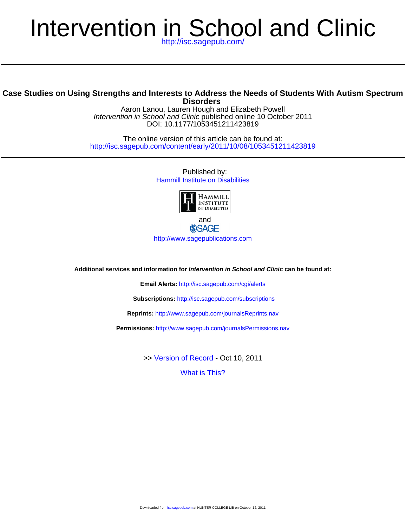# <http://isc.sagepub.com/> Intervention in School and Clinic

# **Disorders Case Studies on Using Strengths and Interests to Address the Needs of Students With Autism Spectrum**

DOI: 10.1177/1053451211423819 Intervention in School and Clinic published online 10 October 2011 Aaron Lanou, Lauren Hough and Elizabeth Powell

<http://isc.sagepub.com/content/early/2011/10/08/1053451211423819> The online version of this article can be found at:

> Published by: [Hammill Institute on Disabilities](http://www.hammill-institute.org/)





<http://www.sagepublications.com>

**Additional services and information for Intervention in School and Clinic can be found at:**

**Email Alerts:** <http://isc.sagepub.com/cgi/alerts>

**Subscriptions:** <http://isc.sagepub.com/subscriptions>

**Reprints:** <http://www.sagepub.com/journalsReprints.nav>

**Permissions:** <http://www.sagepub.com/journalsPermissions.nav>

>> [Version of Record -](http://isc.sagepub.com/content/early/2011/10/08/1053451211423819.full.pdf) Oct 10, 2011

[What is This?](http://online.sagepub.com/site/sphelp/vorhelp.xhtml)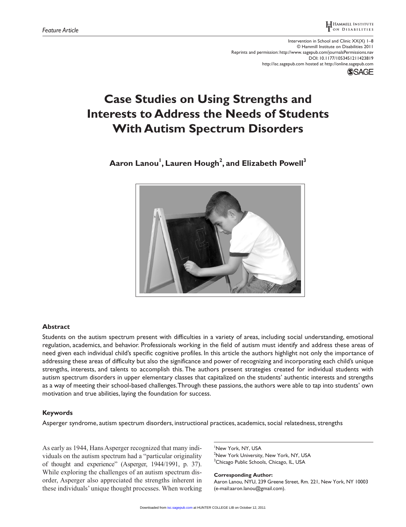Intervention in School and Clinic XX(X) 1–8 © Hammill Institute on Disabilities 2011 Reprints and permission: http://www. sagepub.com/journalsPermissions.nav DOI: 10.1177/1053451211423819 http://isc.sagepub.com hosted at http://online.sagepub.com **SSAGE** 

# **Case Studies on Using Strengths and Interests to Address the Needs of Students With Autism Spectrum Disorders**

# Aaron Lanou<sup>1</sup>, Lauren Hough<sup>2</sup>, and Elizabeth Powell<sup>3</sup>



## **Abstract**

Students on the autism spectrum present with difficulties in a variety of areas, including social understanding, emotional regulation, academics, and behavior. Professionals working in the field of autism must identify and address these areas of need given each individual child's specific cognitive profiles. In this article the authors highlight not only the importance of addressing these areas of difficulty but also the significance and power of recognizing and incorporating each child's unique strengths, interests, and talents to accomplish this. The authors present strategies created for individual students with autism spectrum disorders in upper elementary classes that capitalized on the students' authentic interests and strengths as a way of meeting their school-based challenges. Through these passions, the authors were able to tap into students' own motivation and true abilities, laying the foundation for success.

#### **Keywords**

Asperger syndrome, autism spectrum disorders, instructional practices, academics, social relatedness, strengths

As early as 1944, Hans Asperger recognized that many individuals on the autism spectrum had a "particular originality of thought and experience" (Asperger, 1944/1991, p. 37). While exploring the challenges of an autism spectrum disorder, Asperger also appreciated the strengths inherent in these individuals' unique thought processes. When working

1 New York, NY, USA 2 New York University, New York, NY, USA <sup>3</sup>Chicago Public Schools, Chicago, IL, USA

**Corresponding Author:**

Aaron Lanou, NYU, 239 Greene Street, Rm. 221, New York, NY 10003 (e-mail:aaron.lanou@gmail.com).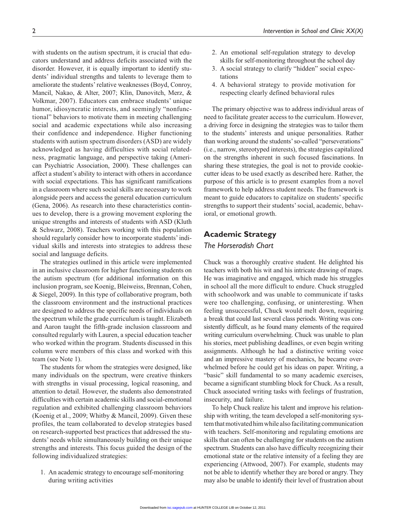with students on the autism spectrum, it is crucial that educators understand and address deficits associated with the disorder. However, it is equally important to identify students' individual strengths and talents to leverage them to ameliorate the students' relative weaknesses (Boyd, Conroy, Mancil, Nakao, & Alter, 2007; Klin, Danovitch, Merz, & Volkmar, 2007). Educators can embrace students' unique humor, idiosyncratic interests, and seemingly "nonfunctional" behaviors to motivate them in meeting challenging social and academic expectations while also increasing their confidence and independence. Higher functioning students with autism spectrum disorders (ASD) are widely acknowledged as having difficulties with social relatedness, pragmatic language, and perspective taking (American Psychiatric Association, 2000). These challenges can affect a student's ability to interact with others in accordance with social expectations. This has significant ramifications in a classroom where such social skills are necessary to work alongside peers and access the general education curriculum (Gena, 2006). As research into these characteristics continues to develop, there is a growing movement exploring the unique strengths and interests of students with ASD (Kluth & Schwarz, 2008). Teachers working with this population should regularly consider how to incorporate students' individual skills and interests into strategies to address these social and language deficits.

The strategies outlined in this article were implemented in an inclusive classroom for higher functioning students on the autism spectrum (for additional information on this inclusion program, see Koenig, Bleiweiss, Brennan, Cohen, & Siegel, 2009). In this type of collaborative program, both the classroom environment and the instructional practices are designed to address the specific needs of individuals on the spectrum while the grade curriculum is taught. Elizabeth and Aaron taught the fifth-grade inclusion classroom and consulted regularly with Lauren, a special education teacher who worked within the program. Students discussed in this column were members of this class and worked with this team (see Note 1).

The students for whom the strategies were designed, like many individuals on the spectrum, were creative thinkers with strengths in visual processing, logical reasoning, and attention to detail. However, the students also demonstrated difficulties with certain academic skills and social-emotional regulation and exhibited challenging classroom behaviors (Koenig et al., 2009; Whitby & Mancil, 2009). Given these profiles, the team collaborated to develop strategies based on research-supported best practices that addressed the students' needs while simultaneously building on their unique strengths and interests. This focus guided the design of the following individualized strategies:

1. An academic strategy to encourage self-monitoring during writing activities

- 2. An emotional self-regulation strategy to develop skills for self-monitoring throughout the school day
- 3. A social strategy to clarify "hidden" social expectations
- 4. A behavioral strategy to provide motivation for respecting clearly defined behavioral rules

The primary objective was to address individual areas of need to facilitate greater access to the curriculum. However, a driving force in designing the strategies was to tailor them to the students' interests and unique personalities. Rather than working around the students' so-called "perseverations" (i.e., narrow, stereotyped interests), the strategies capitalized on the strengths inherent in such focused fascinations. In sharing these strategies, the goal is not to provide cookiecutter ideas to be used exactly as described here. Rather, the purpose of this article is to present examples from a novel framework to help address student needs. The framework is meant to guide educators to capitalize on students' specific strengths to support their students' social, academic, behavioral, or emotional growth.

# **Academic Strategy**

# *The Horseradish Chart*

Chuck was a thoroughly creative student. He delighted his teachers with both his wit and his intricate drawing of maps. He was imaginative and engaged, which made his struggles in school all the more difficult to endure. Chuck struggled with schoolwork and was unable to communicate if tasks were too challenging, confusing, or uninteresting. When feeling unsuccessful, Chuck would melt down, requiring a break that could last several class periods. Writing was consistently difficult, as he found many elements of the required writing curriculum overwhelming. Chuck was unable to plan his stories, meet publishing deadlines, or even begin writing assignments. Although he had a distinctive writing voice and an impressive mastery of mechanics, he became overwhelmed before he could get his ideas on paper. Writing, a "basic" skill fundamental to so many academic exercises, became a significant stumbling block for Chuck. As a result, Chuck associated writing tasks with feelings of frustration, insecurity, and failure.

To help Chuck realize his talent and improve his relationship with writing, the team developed a self-monitoring system that motivated him while also facilitating communication with teachers. Self-monitoring and regulating emotions are skills that can often be challenging for students on the autism spectrum. Students can also have difficulty recognizing their emotional state or the relative intensity of a feeling they are experiencing (Attwood, 2007). For example, students may not be able to identify whether they are bored or angry. They may also be unable to identify their level of frustration about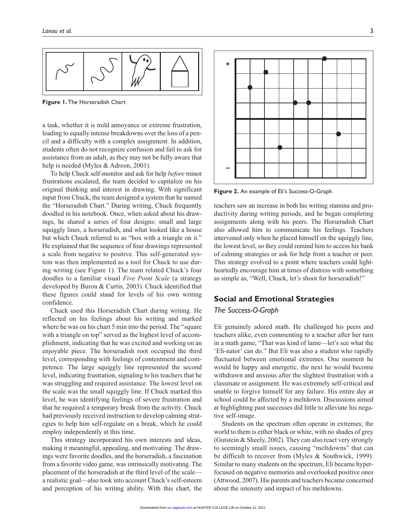

**Figure 1.** The Horseradish Chart

a task, whether it is mild annoyance or extreme frustration, leading to equally intense breakdowns over the loss of a pencil and a difficulty with a complex assignment. In addition, students often do not recognize confusion and fail to ask for assistance from an adult, as they may not be fully aware that help is needed (Myles & Adreon, 2001).

To help Chuck self-monitor and ask for help *before* minor frustrations escalated, the team decided to capitalize on his original thinking and interest in drawing. With significant input from Chuck, the team designed a system that he named the "Horseradish Chart." During writing, Chuck frequently doodled in his notebook. Once, when asked about his drawings, he shared a series of four designs: small and large squiggly lines, a horseradish, and what looked like a house but which Chuck referred to as "box with a triangle on it." He explained that the sequence of four drawings represented a scale from negative to positive. This self-generated system was then implemented as a tool for Chuck to use during writing (see Figure 1). The team related Chuck's four doodles to a familiar visual *Five Point Scale* (a strategy developed by Buron & Curtis, 2003). Chuck identified that these figures could stand for levels of his own writing confidence.

Chuck used this Horseradish Chart during writing. He reflected on his feelings about his writing and marked where he was on his chart 5 min into the period. The "square with a triangle on top" served as the highest level of accomplishment, indicating that he was excited and working on an enjoyable piece. The horseradish root occupied the third level, corresponding with feelings of contentment and competence. The large squiggly line represented the second level, indicating frustration, signaling to his teachers that he was struggling and required assistance. The lowest level on the scale was the small squiggly line. If Chuck marked this level, he was identifying feelings of severe frustration and that he required a temporary break from the activity. Chuck had previously received instruction to develop calming strategies to help him self-regulate on a break, which he could employ independently at this time.

This strategy incorporated his own interests and ideas, making it meaningful, appealing, and motivating. The drawings were favorite doodles, and the horseradish, a fascination from a favorite video game, was intrinsically motivating. The placement of the horseradish at the third level of the scale a realistic goal—also took into account Chuck's self-esteem and perception of his writing ability. With this chart, the



**Figure 2.** An example of Eli's Success-O-Graph

teachers saw an increase in both his writing stamina and productivity during writing periods, and he began completing assignments along with his peers. The Horseradish Chart also allowed him to communicate his feelings. Teachers intervened only when he placed himself on the squiggly line, the lowest level, so they could remind him to access his bank of calming strategies or ask for help from a teacher or peer. This strategy evolved to a point where teachers could lightheartedly encourage him at times of distress with something as simple as, "Well, Chuck, let's shoot for horseradish!"

#### **Social and Emotional Strategies**

# *The Success-O-Graph*

Eli genuinely adored math. He challenged his peers and teachers alike, even commenting to a teacher after her turn in a math game, "That was kind of lame—let's see what the 'Eli-nator' can do." But Eli was also a student who rapidly fluctuated between emotional extremes. One moment he would be happy and energetic, the next he would become withdrawn and anxious after the slightest frustration with a classmate or assignment. He was extremely self-critical and unable to forgive himself for any failure. His entire day at school could be affected by a meltdown. Discussions aimed at highlighting past successes did little to alleviate his negative self-image.

Students on the spectrum often operate in extremes; the world to them is either black or white, with no shades of grey (Gutstein & Sheely, 2002). They can also react very strongly to seemingly small issues, causing "meltdowns" that can be difficult to recover from (Myles & Southwick, 1999). Similar to many students on the spectrum, Eli became hyperfocused on negative memories and overlooked positive ones (Attwood, 2007). His parents and teachers became concerned about the intensity and impact of his meltdowns.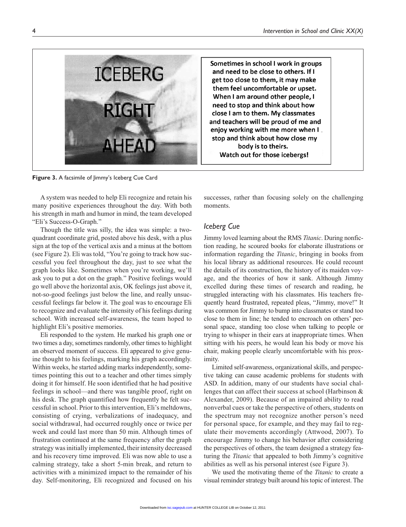

**Figure 3.** A facsimile of Jimmy's Iceberg Cue Card

A system was needed to help Eli recognize and retain his many positive experiences throughout the day. With both his strength in math and humor in mind, the team developed "Eli's Success-O-Graph."

Though the title was silly, the idea was simple: a twoquadrant coordinate grid, posted above his desk, with a plus sign at the top of the vertical axis and a minus at the bottom (see Figure 2). Eli was told, "You're going to track how successful you feel throughout the day, just to see what the graph looks like. Sometimes when you're working, we'll ask you to put a dot on the graph." Positive feelings would go well above the horizontal axis, OK feelings just above it, not-so-good feelings just below the line, and really unsuccessful feelings far below it. The goal was to encourage Eli to recognize and evaluate the intensity of his feelings during school. With increased self-awareness, the team hoped to highlight Eli's positive memories.

Eli responded to the system. He marked his graph one or two times a day, sometimes randomly, other times to highlight an observed moment of success. Eli appeared to give genuine thought to his feelings, marking his graph accordingly. Within weeks, he started adding marks independently, sometimes pointing this out to a teacher and other times simply doing it for himself. He soon identified that he had positive feelings in school—and there was tangible proof, right on his desk. The graph quantified how frequently he felt successful in school. Prior to this intervention, Eli's meltdowns, consisting of crying, verbalizations of inadequacy, and social withdrawal, had occurred roughly once or twice per week and could last more than 50 min. Although times of frustration continued at the same frequency after the graph strategy was initially implemented, their intensity decreased and his recovery time improved. Eli was now able to use a calming strategy, take a short 5-min break, and return to activities with a minimized impact to the remainder of his day. Self-monitoring, Eli recognized and focused on his

successes, rather than focusing solely on the challenging moments.

#### *Iceberg Cue*

Jimmy loved learning about the RMS *Titanic*. During nonfiction reading, he scoured books for elaborate illustrations or information regarding the *Titanic*, bringing in books from his local library as additional resources. He could recount the details of its construction, the history of its maiden voyage, and the theories of how it sank. Although Jimmy excelled during these times of research and reading, he struggled interacting with his classmates. His teachers frequently heard frustrated, repeated pleas, "Jimmy, move!" It was common for Jimmy to bump into classmates or stand too close to them in line; he tended to encroach on others' personal space, standing too close when talking to people or trying to whisper in their ears at inappropriate times. When sitting with his peers, he would lean his body or move his chair, making people clearly uncomfortable with his proximity.

Limited self-awareness, organizational skills, and perspective taking can cause academic problems for students with ASD. In addition, many of our students have social challenges that can affect their success at school (Harbinson & Alexander, 2009). Because of an impaired ability to read nonverbal cues or take the perspective of others, students on the spectrum may not recognize another person's need for personal space, for example, and they may fail to regulate their movements accordingly (Attwood, 2007). To encourage Jimmy to change his behavior after considering the perspectives of others, the team designed a strategy featuring the *Titanic* that appealed to both Jimmy's cognitive abilities as well as his personal interest (see Figure 3).

We used the motivating theme of the *Titanic* to create a visual reminder strategy built around his topic of interest. The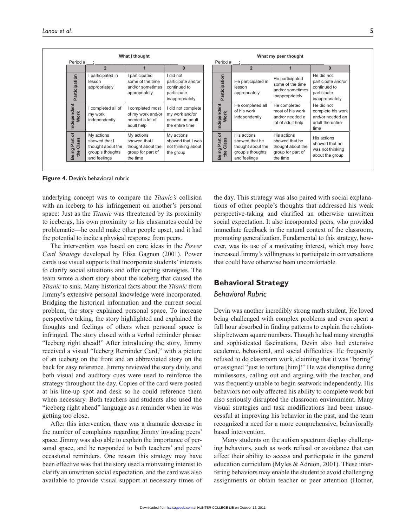| Period #                                   | What I thought                                                                       |                                                                                   |                                                                                   |                                                     | What my peer thought<br>Period #<br>- 1                                                |                                                                                     |                                                                                    |  |
|--------------------------------------------|--------------------------------------------------------------------------------------|-----------------------------------------------------------------------------------|-----------------------------------------------------------------------------------|-----------------------------------------------------|----------------------------------------------------------------------------------------|-------------------------------------------------------------------------------------|------------------------------------------------------------------------------------|--|
|                                            | $\overline{2}$                                                                       |                                                                                   | $\Omega$                                                                          |                                                     | $\overline{2}$                                                                         |                                                                                     | $\Omega$                                                                           |  |
| Participation                              | participated in<br>lesson<br>appropriately                                           | I participated<br>some of the time<br>and/or sometimes<br>appropriately           | I did not<br>participate and/or<br>continued to<br>participate<br>inappropriately | articipation<br>o.                                  | He participated in<br>lesson<br>appropriately                                          | He participated<br>some of the time<br>and/or sometimes<br>inappropriately          | He did not<br>participate and/or<br>continued to<br>participate<br>inappropriately |  |
| Independent<br><b>Work</b>                 | completed all of<br>my work<br>independently                                         | I completed most<br>of my work and/or<br>needed a lot of<br>adult help            | I did not complete<br>my work and/or<br>needed an adult<br>the entire time        | ependent<br><b>Work</b><br>Ĕ                        | He completed all<br>of his work<br>independently                                       | He completed<br>most of his work<br>and/or needed a<br>lot of adult help            | He did not<br>complete his work<br>and/or needed an<br>adult the entire<br>time    |  |
| ិ៍<br>Class<br>Part<br><b>Being</b><br>the | My actions<br>showed that I<br>thought about the<br>group's thoughts<br>and feelings | My actions<br>showed that I<br>thought about the<br>group for part of<br>the time | My actions<br>showed that I was<br>not thinking about<br>the group                | $\frac{1}{\sigma}$<br>Class<br>Part<br>Being<br>the | His actions<br>showed that he<br>thought about the<br>group's thoughts<br>and feelings | His actions<br>showed that he<br>thought about the<br>group for part of<br>the time | His actions<br>showed that he<br>was not thinking<br>about the group               |  |

**Figure 4.** Devin's behavioral rubric

underlying concept was to compare the *Titanic's* collision with an iceberg to his infringement on another's personal space: Just as the *Titanic* was threatened by its proximity to icebergs, his own proximity to his classmates could be problematic—he could make other people upset, and it had the potential to incite a physical response from peers.

The intervention was based on core ideas in the *Power Card Strategy* developed by Elisa Gagnon (2001). Power cards use visual supports that incorporate students' interests to clarify social situations and offer coping strategies. The team wrote a short story about the iceberg that caused the *Titanic* to sink. Many historical facts about the *Titanic* from Jimmy's extensive personal knowledge were incorporated. Bridging the historical information and the current social problem, the story explained personal space. To increase perspective taking, the story highlighted and explained the thoughts and feelings of others when personal space is infringed. The story closed with a verbal reminder phrase: "Iceberg right ahead!" After introducing the story, Jimmy received a visual "Iceberg Reminder Card," with a picture of an iceberg on the front and an abbreviated story on the back for easy reference. Jimmy reviewed the story daily, and both visual and auditory cues were used to reinforce the strategy throughout the day. Copies of the card were posted at his line-up spot and desk so he could reference them when necessary. Both teachers and students also used the "iceberg right ahead" language as a reminder when he was getting too close**.**

After this intervention, there was a dramatic decrease in the number of complaints regarding Jimmy invading peers' space. Jimmy was also able to explain the importance of personal space, and he responded to both teachers' and peers' occasional reminders. One reason this strategy may have been effective was that the story used a motivating interest to clarify an unwritten social expectation, and the card was also available to provide visual support at necessary times of the day. This strategy was also paired with social explanations of other people's thoughts that addressed his weak perspective-taking and clarified an otherwise unwritten social expectation. It also incorporated peers, who provided immediate feedback in the natural context of the classroom, promoting generalization. Fundamental to this strategy, however, was its use of a motivating interest, which may have increased Jimmy's willingness to participate in conversations that could have otherwise been uncomfortable.

# **Behavioral Strategy**

# *Behavioral Rubric*

Devin was another incredibly strong math student. He loved being challenged with complex problems and even spent a full hour absorbed in finding patterns to explain the relationship between square numbers. Though he had many strengths and sophisticated fascinations, Devin also had extensive academic, behavioral, and social difficulties. He frequently refused to do classroom work, claiming that it was "boring" or assigned "just to torture [him]!" He was disruptive during minilessons, calling out and arguing with the teacher, and was frequently unable to begin seatwork independently. His behaviors not only affected his ability to complete work but also seriously disrupted the classroom environment. Many visual strategies and task modifications had been unsuccessful at improving his behavior in the past, and the team recognized a need for a more comprehensive, behaviorally based intervention.

Many students on the autism spectrum display challenging behaviors, such as work refusal or avoidance that can affect their ability to access and participate in the general education curriculum (Myles & Adreon, 2001). These interfering behaviors may enable the student to avoid challenging assignments or obtain teacher or peer attention (Horner,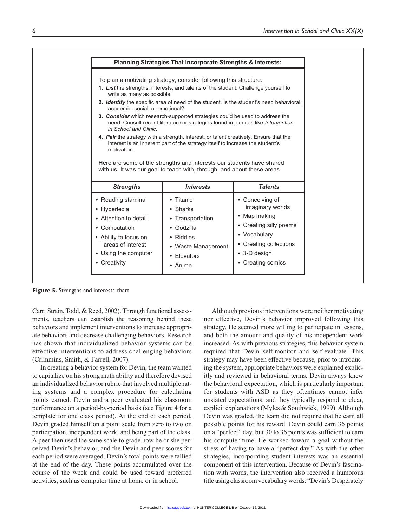| write as many as possible!<br>academic, social, or emotional?<br>in School and Clinic.<br>motivation. | To plan a motivating strategy, consider following this structure:<br>1. List the strengths, interests, and talents of the student. Challenge yourself to<br>3. Consider which research-supported strategies could be used to address the<br>need. Consult recent literature or strategies found in journals like <i>Intervention</i><br>4. Pair the strategy with a strength, interest, or talent creatively. Ensure that the<br>interest is an inherent part of the strategy itself to increase the student's<br>Here are some of the strengths and interests our students have shared<br>with us. It was our goal to teach with, through, and about these areas. | 2. Identify the specific area of need of the student. Is the student's need behavioral,                                 |
|-------------------------------------------------------------------------------------------------------|--------------------------------------------------------------------------------------------------------------------------------------------------------------------------------------------------------------------------------------------------------------------------------------------------------------------------------------------------------------------------------------------------------------------------------------------------------------------------------------------------------------------------------------------------------------------------------------------------------------------------------------------------------------------|-------------------------------------------------------------------------------------------------------------------------|
| <b>Strengths</b>                                                                                      | <b>Interests</b>                                                                                                                                                                                                                                                                                                                                                                                                                                                                                                                                                                                                                                                   | <b>Talents</b>                                                                                                          |
| • Reading stamina<br>• Hyperlexia<br>• Attention to detail<br>• Computation<br>• Ability to focus on  | • Titanic<br>• Sharks<br>• Transportation<br>• Godzilla<br>• Riddles                                                                                                                                                                                                                                                                                                                                                                                                                                                                                                                                                                                               | • Conceiving of<br>imaginary worlds<br>• Map making<br>• Creating silly poems<br>• Vocabulary<br>• Creating collections |

**Figure 5.** Strengths and interests chart

Carr, Strain, Todd, & Reed, 2002). Through functional assessments, teachers can establish the reasoning behind these behaviors and implement interventions to increase appropriate behaviors and decrease challenging behaviors. Research has shown that individualized behavior systems can be effective interventions to address challenging behaviors (Crimmins, Smith, & Farrell, 2007).

In creating a behavior system for Devin, the team wanted to capitalize on his strong math ability and therefore devised an individualized behavior rubric that involved multiple rating systems and a complex procedure for calculating points earned. Devin and a peer evaluated his classroom performance on a period-by-period basis (see Figure 4 for a template for one class period). At the end of each period, Devin graded himself on a point scale from zero to two on participation, independent work, and being part of the class. A peer then used the same scale to grade how he or she perceived Devin's behavior, and the Devin and peer scores for each period were averaged. Devin's total points were tallied at the end of the day. These points accumulated over the course of the week and could be used toward preferred activities, such as computer time at home or in school.

Although previous interventions were neither motivating nor effective, Devin's behavior improved following this strategy. He seemed more willing to participate in lessons, and both the amount and quality of his independent work increased. As with previous strategies, this behavior system required that Devin self-monitor and self-evaluate. This strategy may have been effective because, prior to introducing the system, appropriate behaviors were explained explicitly and reviewed in behavioral terms. Devin always knew the behavioral expectation, which is particularly important for students with ASD as they oftentimes cannot infer unstated expectations, and they typically respond to clear, explicit explanations (Myles & Southwick, 1999). Although Devin was graded, the team did not require that he earn all possible points for his reward. Devin could earn 36 points on a "perfect" day, but 30 to 36 points was sufficient to earn his computer time. He worked toward a goal without the stress of having to have a "perfect day." As with the other strategies, incorporating student interests was an essential component of this intervention. Because of Devin's fascination with words, the intervention also received a humorous title using classroom vocabulary words: "Devin's Desperately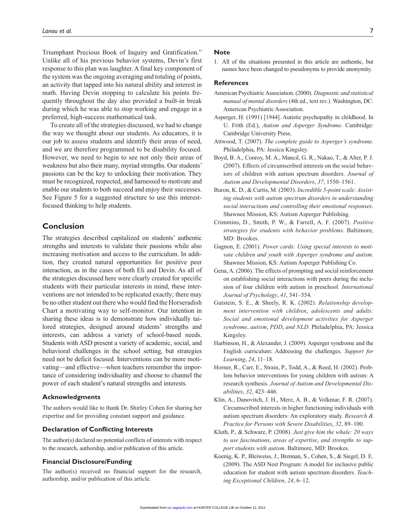Triumphant Precious Book of Inquiry and Gratification." Unlike all of his previous behavior systems, Devin's first response to this plan was laughter. A final key component of the system was the ongoing averaging and totaling of points, an activity that tapped into his natural ability and interest in math. Having Devin stopping to calculate his points frequently throughout the day also provided a built-in break during which he was able to stop working and engage in a preferred, high-success mathematical task.

To create all of the strategies discussed, we had to change the way we thought about our students. As educators, it is our job to assess students and identify their areas of need, and we are therefore programmed to be disability focused. However, we need to begin to see not only their areas of weakness but also their many, myriad strengths. Our students' passions can be the key to unlocking their motivation. They must be recognized, respected, and harnessed to motivate and enable our students to both succeed and enjoy their successes. See Figure 5 for a suggested structure to use this interestfocused thinking to help students.

### **Conclusion**

The strategies described capitalized on students' authentic strengths and interests to validate their passions while also increasing motivation and access to the curriculum. In addition, they created natural opportunities for positive peer interaction, as in the cases of both Eli and Devin. As all of the strategies discussed here were clearly created for specific students with their particular interests in mind, these interventions are not intended to be replicated exactly; there may be no other student out there who would find the Horseradish Chart a motivating way to self-monitor. Our intention in sharing these ideas is to demonstrate how individually tailored strategies, designed around students' strengths and interests, can address a variety of school-based needs. Students with ASD present a variety of academic, social, and behavioral challenges in the school setting, but strategies need not be deficit focused. Interventions can be more motivating—and effective—when teachers remember the importance of considering individuality and choose to channel the power of each student's natural strengths and interests.

#### **Acknowledgments**

The authors would like to thank Dr. Shirley Cohen for sharing her expertise and for providing constant support and guidance.

#### **Declaration of Conflicting Interests**

The author(s) declared no potential conflicts of interests with respect to the research, authorship, and/or publication of this article.

#### **Financial Disclosure/Funding**

The author(s) received no financial support for the research, authorship, and/or publication of this article.

#### **Note**

1. All of the situations presented in this article are authentic, but names have been changed to pseudonyms to provide anonymity.

#### **References**

- American Psychiatric Association. (2000). *Diagnostic and statistical manual of mental disorders* (4th ed., text rev.). Washington, DC: American Psychiatric Association.
- Asperger, H. (1991) [1944]. Autistic psychopathy in childhood. In U. Frith (Ed.), *Autism and Asperger Syndrome*. Cambridge: Cambridge University Press.
- Attwood, T. (2007). *The complete guide to Asperger's syndrome*. Philadelphia, PA: Jessica Kingsley.
- Boyd, B. A., Conroy, M. A., Mancil, G. R., Nakao, T., & Alter, P. J. (2007). Effects of circumscribed interests on the social behaviors of children with autism spectrum disorders. *Journal of Autism and Developmental Disorders*, *37*, 1550–1561.
- Buron, K. D., & Curtis, M. (2003). *Incredible 5-point scale: Assisting students with autism spectrum disorders in understanding social interactions and controlling their emotional responses*. Shawnee Mission, KS: Autism Asperger Publishing.
- Crimmins, D., Smith, P. W., & Farrell, A. F. (2007). *Positive strategies for students with behavior problems*. Baltimore, MD: Brookes.
- Gagnon, E. (2001). *Power cards: Using special interests to motivate children and youth with Asperger syndrome and autism*. Shawnee Mission, KS: Autism Asperger Publishing Co.
- Gena, A. (2006). The effects of prompting and social reinforcement on establishing social interactions with peers during the inclusion of four children with autism in preschool. *International Journal of Psychology*, *41*, 541–554.
- Gutstein, S. E., & Sheely, R. K. (2002). *Relationship development intervention with children*, *adolescents and adults: Social and emotional development activities for Asperger syndrome*, *autism*, *PDD*, *and NLD*. Philadelphia, PA: Jessica Kingsley.
- Harbinson, H., & Alexander, J. (2009). Asperger syndrome and the English curriculum: Addressing the challenges. *Support for Learning*, *24*, 11–18.
- Horner, R., Carr, E., Strain, P., Todd, A., & Reed, H. (2002). Problem behavior interventions for young children with autism: A research synthesis. *Journal of Autism and Developmental Disabilities*, *32*, 423–446.
- Klin, A., Danovitch, J. H., Merz, A. B., & Volkmar, F. R. (2007). Circumscribed interests in higher functioning individuals with autism spectrum disorders: An exploratory study. *Research & Practice for Persons with Severe Disabilities*, *32*, 89–100.
- Kluth, P., & Schwarz, P. (2008). *Just give him the whale: 20 ways to use fascinations*, *areas of expertise*, *and strengths to support students with autism*. Baltimore, MD: Brookes.
- Koenig, K. P., Bleiweiss, J., Brennan, S., Cohen, S., & Siegel, D. E. (2009). The ASD Nest Program: A model for inclusive public education for student with autism spectrum disorders. *Teaching Exceptional Children*, *24*, 6–12.